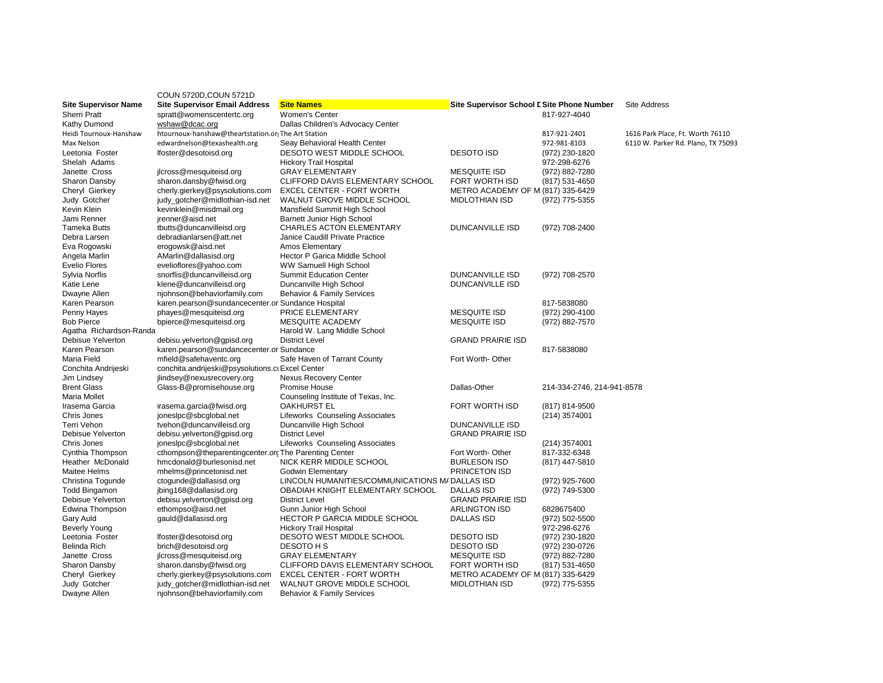|                               | COUN 5720D, COUN 5721D                                |                                                            |                                            |                                 |                                    |
|-------------------------------|-------------------------------------------------------|------------------------------------------------------------|--------------------------------------------|---------------------------------|------------------------------------|
| <b>Site Supervisor Name</b>   | <b>Site Supervisor Email Address</b>                  | <b>Site Names</b>                                          | Site Supervisor School I Site Phone Number |                                 | <b>Site Address</b>                |
| <b>Sherri Pratt</b>           | spratt@womenscentertc.org                             | <b>Women's Center</b>                                      |                                            | 817-927-4040                    |                                    |
| Kathy Dumond                  | wshaw@dcac.org                                        | Dallas Children's Advocacy Center                          |                                            |                                 |                                    |
| Heidi Tournoux-Hanshaw        | htournoux-hanshaw@theartstation.or The Art Station    |                                                            |                                            | 817-921-2401                    | 1616 Park Place, Ft. Worth 76110   |
| Max Nelson                    | edwardnelson@texashealth.org                          | Seay Behavioral Health Center                              |                                            | 972-981-8103                    | 6110 W. Parker Rd. Plano, TX 75093 |
| Leetonia Foster               | lfoster@desotoisd.org                                 | DESOTO WEST MIDDLE SCHOOL                                  | <b>DESOTO ISD</b>                          | (972) 230-1820                  |                                    |
| Shelah Adams                  |                                                       | <b>Hickory Trail Hospital</b>                              |                                            | 972-298-6276                    |                                    |
| Janette Cross                 | jlcross@mesquiteisd.org                               | <b>GRAY ELEMENTARY</b>                                     | <b>MESQUITE ISD</b>                        | (972) 882-7280                  |                                    |
| Sharon Dansby                 | sharon.dansby@fwisd.org                               | CLIFFORD DAVIS ELEMENTARY SCHOOL                           | <b>FORT WORTH ISD</b>                      | (817) 531-4650                  |                                    |
| Cheryl Gierkey                | cherly.gierkey@psysolutions.com                       | <b>EXCEL CENTER - FORT WORTH</b>                           | METRO ACADEMY OF M (817) 335-6429          |                                 |                                    |
| Judy Gotcher                  | judy_gotcher@midlothian-isd.net                       | WALNUT GROVE MIDDLE SCHOOL                                 | <b>MIDLOTHIAN ISD</b>                      | (972) 775-5355                  |                                    |
| Kevin Klein                   | kevinklein@misdmail.org                               | Mansfield Summit High School                               |                                            |                                 |                                    |
| Jami Renner                   | jrenner@aisd.net                                      | Barnett Junior High School                                 |                                            |                                 |                                    |
| Tameka Butts                  | tbutts@duncanvilleisd.org                             | <b>CHARLES ACTON ELEMENTARY</b>                            | <b>DUNCANVILLE ISD</b>                     | (972) 708-2400                  |                                    |
| Debra Larsen                  | debradianlarsen@att.net                               | Janice Caudill Private Practice                            |                                            |                                 |                                    |
| Eva Rogowski                  | erogowsk@aisd.net                                     | Amos Elementary                                            |                                            |                                 |                                    |
| Angela Marlin                 | AMarlin@dallasisd.org                                 | Hector P Garica Middle School                              |                                            |                                 |                                    |
| Evelio Flores                 | evelioflores@yahoo.com                                | WW Samuell High School                                     |                                            |                                 |                                    |
| Sylvia Norflis                | snorflis@duncanvilleisd.org                           | <b>Summit Education Center</b>                             | DUNCANVILLE ISD                            | (972) 708-2570                  |                                    |
| Katie Lene                    | klene@duncanvilleisd.org                              | Duncanville High School                                    | <b>DUNCANVILLE ISD</b>                     |                                 |                                    |
| Dwayne Allen                  | njohnson@behaviorfamily.com                           | <b>Behavior &amp; Family Services</b>                      |                                            |                                 |                                    |
| Karen Pearson                 | karen.pearson@sundancecenter.or Sundance Hospital     |                                                            |                                            | 817-5838080                     |                                    |
| Penny Hayes                   | phayes@mesquiteisd.org                                | PRICE ELEMENTARY                                           | <b>MESQUITE ISD</b>                        | (972) 290-4100                  |                                    |
| <b>Bob Pierce</b>             | bpierce@mesquiteisd.org                               | MESQUITE ACADEMY                                           | <b>MESQUITE ISD</b>                        | (972) 882-7570                  |                                    |
| Agatha Richardson-Randa       |                                                       | Harold W. Lang Middle School                               |                                            |                                 |                                    |
| Debisue Yelverton             | debisu.yelverton@gpisd.org                            | <b>District Level</b>                                      | <b>GRAND PRAIRIE ISD</b>                   |                                 |                                    |
| Karen Pearson                 | karen.pearson@sundancecenter.or Sundance              |                                                            |                                            | 817-5838080                     |                                    |
| Maria Field                   | mfield@safehaventc.org                                | Safe Haven of Tarrant County                               | Fort Worth-Other                           |                                 |                                    |
| Conchita Andrijeski           | conchita.andrijeski@psysolutions.c Excel Center       |                                                            |                                            |                                 |                                    |
| Jim Lindsey                   | jlindsey@nexusrecovery.org                            | Nexus Recovery Center                                      |                                            |                                 |                                    |
| <b>Brent Glass</b>            | Glass-B@promisehouse.org                              | Promise House                                              | Dallas-Other                               | 214-334-2746, 214-941-8578      |                                    |
| Maria Mollet                  |                                                       | Counseling Institute of Texas, Inc.                        | <b>FORT WORTH ISD</b>                      |                                 |                                    |
| Irasema Garcia<br>Chris Jones | irasema.garcia@fwisd.org<br>joneslpc@sbcglobal.net    | <b>OAKHURST EL</b>                                         |                                            | (817) 814-9500<br>(214) 3574001 |                                    |
| Terri Vehon                   | tvehon@duncanvilleisd.org                             | Lifeworks Counseling Associates<br>Duncanville High School | <b>DUNCANVILLE ISD</b>                     |                                 |                                    |
| Debisue Yelverton             | debisu.yelverton@gpisd.org                            | <b>District Level</b>                                      | <b>GRAND PRAIRIE ISD</b>                   |                                 |                                    |
| Chris Jones                   | joneslpc@sbcqlobal.net                                | <b>Lifeworks Counseling Associates</b>                     |                                            | $(214)$ 3574001                 |                                    |
| Cynthia Thompson              | cthompson@theparentingcenter.org The Parenting Center |                                                            | Fort Worth-Other                           | 817-332-6348                    |                                    |
| Heather McDonald              | hmcdonald@burlesonisd.net                             | NICK KERR MIDDLE SCHOOL                                    | <b>BURLESON ISD</b>                        | (817) 447-5810                  |                                    |
| Maitee Helms                  | mhelms@princetonisd.net                               | Godwin Elementary                                          | PRINCETON ISD                              |                                 |                                    |
| Christina Togunde             | ctoqunde@dallasisd.org                                | LINCOLN HUMANITIES/COMMUNICATIONS M/ DALLAS ISD            |                                            | (972) 925-7600                  |                                    |
| <b>Todd Bingamon</b>          | jbing168@dallasisd.org                                | OBADIAH KNIGHT ELEMENTARY SCHOOL                           | <b>DALLAS ISD</b>                          | (972) 749-5300                  |                                    |
| Debisue Yelverton             | debisu.yelverton@gpisd.org                            | <b>District Level</b>                                      | <b>GRAND PRAIRIE ISD</b>                   |                                 |                                    |
| Edwina Thompson               | ethompso@aisd.net                                     | Gunn Junior High School                                    | <b>ARLINGTON ISD</b>                       | 6828675400                      |                                    |
| Gary Auld                     | gauld@dallasisd.org                                   | <b>HECTOR P GARCIA MIDDLE SCHOOL</b>                       | <b>DALLAS ISD</b>                          | (972) 502-5500                  |                                    |
| <b>Beverly Young</b>          |                                                       | <b>Hickory Trail Hospital</b>                              |                                            | 972-298-6276                    |                                    |
| Leetonia Foster               | lfoster@desotoisd.org                                 | DESOTO WEST MIDDLE SCHOOL                                  | <b>DESOTO ISD</b>                          | (972) 230-1820                  |                                    |
| Belinda Rich                  | brich@desotoisd.org                                   | DESOTO H S                                                 | <b>DESOTO ISD</b>                          | (972) 230-0726                  |                                    |
| Janette Cross                 | jlcross@mesquiteisd.org                               | <b>GRAY ELEMENTARY</b>                                     | <b>MESQUITE ISD</b>                        | (972) 882-7280                  |                                    |
| Sharon Dansby                 | sharon.dansby@fwisd.org                               | CLIFFORD DAVIS ELEMENTARY SCHOOL                           | FORT WORTH ISD                             | (817) 531-4650                  |                                    |
| Cheryl Gierkey                | cherly.gierkey@psysolutions.com                       | <b>EXCEL CENTER - FORT WORTH</b>                           | METRO ACADEMY OF M (817) 335-6429          |                                 |                                    |
| Judy Gotcher                  | judy_gotcher@midlothian-isd.net                       | WALNUT GROVE MIDDLE SCHOOL                                 | <b>MIDLOTHIAN ISD</b>                      | (972) 775-5355                  |                                    |
| Dwayne Allen                  | njohnson@behaviorfamily.com                           | <b>Behavior &amp; Family Services</b>                      |                                            |                                 |                                    |